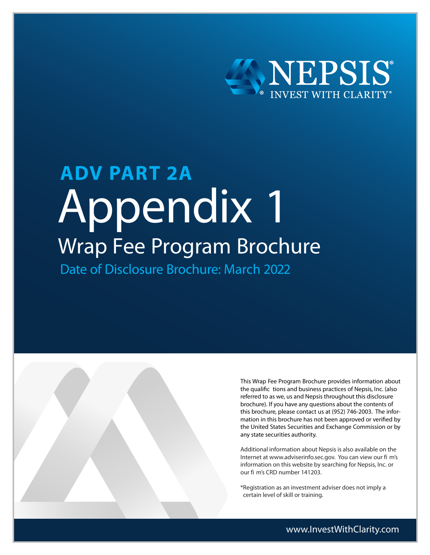

# Appendix 1 Wrap Fee Program Brochure **ADV PART 2A** Date of Disclosure Brochure: March 2022



This Wrap Fee Program Brochure provides information about the qualific tions and business practices of Nepsis, Inc. (also referred to as we, us and Nepsis throughout this disclosure brochure). If you have any questions about the contents of this brochure, please contact us at (952) 746-2003. The information in this brochure has not been approved or verified by the United States Securities and Exchange Commission or by any state securities authority.

Additional information about Nepsis is also available on the Internet at www.adviserinfo.sec.gov. You can view our fi m's information on this website by searching for Nepsis, Inc. or our fi m's CRD number 141203.

\*Registration as an investment adviser does not imply a certain level of skill or training.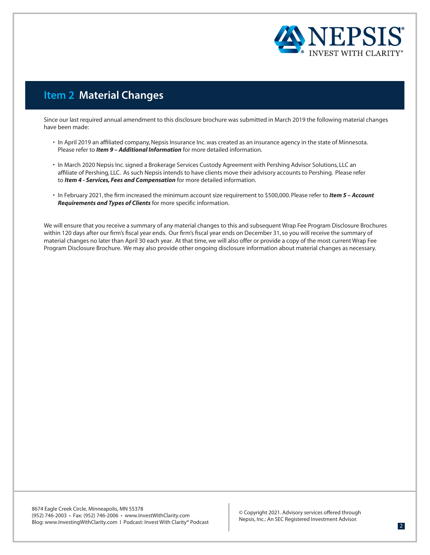

# **Item 2 Material Changes**

Since our last required annual amendment to this disclosure brochure was submitted in March 2019 the following material changes have been made:

- In April 2019 an affiliated company, Nepsis Insurance Inc. was created as an insurance agency in the state of Minnesota. Please refer to *Item 9 – Additional Information* for more detailed information.
- In March 2020 Nepsis Inc. signed a Brokerage Services Custody Agreement with Pershing Advisor Solutions, LLC an affiliate of Pershing, LLC. As such Nepsis intends to have clients move their advisory accounts to Pershing. Please refer to *Item 4 - Services, Fees and Compensation* for more detailed information.
- In February 2021, the firm increased the minimum account size requirement to \$500,000. Please refer to *Item 5 Account Requirements and Types of Clients* for more specific information.

We will ensure that you receive a summary of any material changes to this and subsequent Wrap Fee Program Disclosure Brochures within 120 days after our firm's fiscal year ends. Our firm's fiscal year ends on December 31, so you will receive the summary of material changes no later than April 30 each year. At that time, we will also offer or provide a copy of the most current Wrap Fee Program Disclosure Brochure. We may also provide other ongoing disclosure information about material changes as necessary.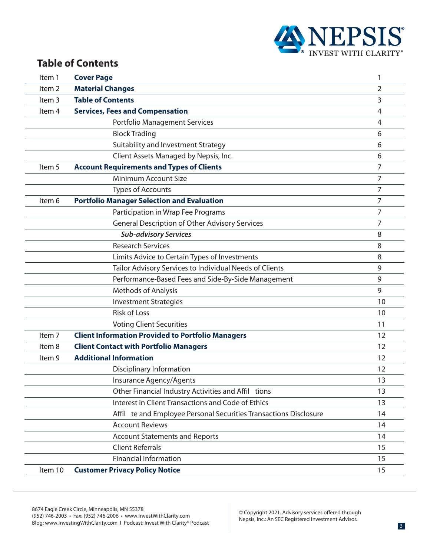

# **Table of Contents**

| Item 1            | <b>Cover Page</b>                                                 | 1  |
|-------------------|-------------------------------------------------------------------|----|
| Item <sub>2</sub> | <b>Material Changes</b>                                           | 2  |
| Item <sub>3</sub> | <b>Table of Contents</b>                                          | 3  |
| Item 4            | <b>Services, Fees and Compensation</b>                            | 4  |
|                   | <b>Portfolio Management Services</b>                              | 4  |
|                   | <b>Block Trading</b>                                              | 6  |
|                   | Suitability and Investment Strategy                               | 6  |
|                   | Client Assets Managed by Nepsis, Inc.                             | 6  |
| Item 5            | <b>Account Requirements and Types of Clients</b>                  | 7  |
|                   | Minimum Account Size                                              | 7  |
|                   | <b>Types of Accounts</b>                                          | 7  |
| Item 6            | <b>Portfolio Manager Selection and Evaluation</b>                 | 7  |
|                   | Participation in Wrap Fee Programs                                | 7  |
|                   | <b>General Description of Other Advisory Services</b>             | 7  |
|                   | <b>Sub-advisory Services</b>                                      | 8  |
|                   | <b>Research Services</b>                                          | 8  |
|                   | Limits Advice to Certain Types of Investments                     | 8  |
|                   | Tailor Advisory Services to Individual Needs of Clients           | 9  |
|                   | Performance-Based Fees and Side-By-Side Management                | 9  |
|                   | <b>Methods of Analysis</b>                                        | 9  |
|                   | <b>Investment Strategies</b>                                      | 10 |
|                   | <b>Risk of Loss</b>                                               | 10 |
|                   | <b>Voting Client Securities</b>                                   | 11 |
| Item <sub>7</sub> | <b>Client Information Provided to Portfolio Managers</b>          | 12 |
| Item 8            | <b>Client Contact with Portfolio Managers</b>                     | 12 |
| Item 9            | <b>Additional Information</b>                                     | 12 |
|                   | <b>Disciplinary Information</b>                                   | 12 |
|                   | Insurance Agency/Agents                                           | 13 |
|                   | Other Financial Industry Activities and Affil tions               | 13 |
|                   | Interest in Client Transactions and Code of Ethics                | 13 |
|                   | Affil te and Employee Personal Securities Transactions Disclosure | 14 |
|                   | <b>Account Reviews</b>                                            | 14 |
|                   | <b>Account Statements and Reports</b>                             | 14 |
|                   | <b>Client Referrals</b>                                           | 15 |
|                   | <b>Financial Information</b>                                      | 15 |
| Item 10           | <b>Customer Privacy Policy Notice</b>                             | 15 |
|                   |                                                                   |    |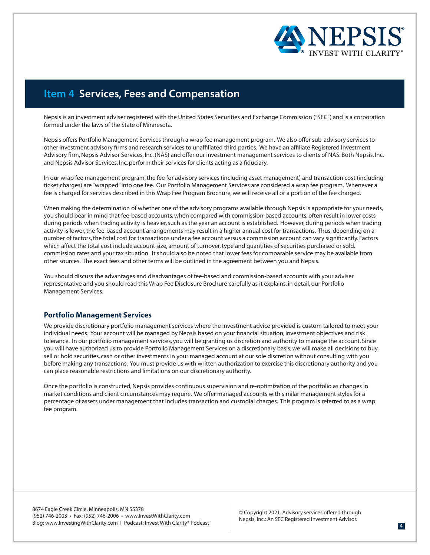

# **Item 4 Services, Fees and Compensation**

Nepsis is an investment adviser registered with the United States Securities and Exchange Commission ("SEC") and is a corporation formed under the laws of the State of Minnesota.

Nepsis offers Portfolio Management Services through a wrap fee management program. We also offer sub-advisory services to other investment advisory firms and research services to unaffiliated third parties. We have an affiliate Registered Investment Advisory firm, Nepsis Advisor Services, Inc. (NAS) and offer our investment management services to clients of NAS. Both Nepsis, Inc. and Nepsis Advisor Services, Inc. perform their services for clients acting as a fiduciary.

In our wrap fee management program, the fee for advisory services (including asset management) and transaction cost (including ticket charges) are "wrapped" into one fee. Our Portfolio Management Services are considered a wrap fee program. Whenever a fee is charged for services described in this Wrap Fee Program Brochure, we will receive all or a portion of the fee charged.

When making the determination of whether one of the advisory programs available through Nepsis is appropriate for your needs, you should bear in mind that fee-based accounts, when compared with commission-based accounts, often result in lower costs during periods when trading activity is heavier, such as the year an account is established. However, during periods when trading activity is lower, the fee-based account arrangements may result in a higher annual cost for transactions. Thus, depending on a number of factors, the total cost for transactions under a fee account versus a commission account can vary significantly. Factors which affect the total cost include account size, amount of turnover, type and quantities of securities purchased or sold, commission rates and your tax situation. It should also be noted that lower fees for comparable service may be available from other sources. The exact fees and other terms will be outlined in the agreement between you and Nepsis.

You should discuss the advantages and disadvantages of fee-based and commission-based accounts with your adviser representative and you should read this Wrap Fee Disclosure Brochure carefully as it explains, in detail, our Portfolio Management Services.

#### **Portfolio Management Services**

We provide discretionary portfolio management services where the investment advice provided is custom tailored to meet your individual needs. Your account will be managed by Nepsis based on your financial situation, investment objectives and risk tolerance. In our portfolio management services, you will be granting us discretion and authority to manage the account. Since you will have authorized us to provide Portfolio Management Services on a discretionary basis, we will make all decisions to buy, sell or hold securities, cash or other investments in your managed account at our sole discretion without consulting with you before making any transactions. You must provide us with written authorization to exercise this discretionary authority and you can place reasonable restrictions and limitations on our discretionary authority.

Once the portfolio is constructed, Nepsis provides continuous supervision and re-optimization of the portfolio as changes in market conditions and client circumstances may require. We offer managed accounts with similar management styles for a percentage of assets under management that includes transaction and custodial charges. This program is referred to as a wrap fee program.

8674 Eagle Creek Circle, Minneapolis, MN 55378 (952) 746-2003 • Fax: (952) 746-2006 • www.InvestWithClarity.com Blog: www.InvestingWithClarity.com I Podcast: Invest With Clarity® Podcast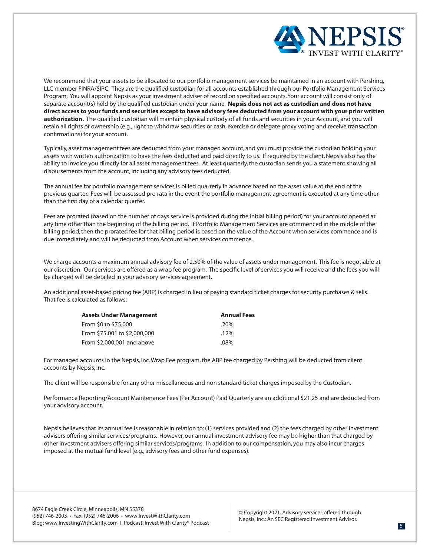

We recommend that your assets to be allocated to our portfolio management services be maintained in an account with Pershing, LLC member FINRA/SIPC. They are the qualified custodian for all accounts established through our Portfolio Management Services Program. You will appoint Nepsis as your investment adviser of record on specified accounts. Your account will consist only of separate account(s) held by the qualified custodian under your name. **Nepsis does not act as custodian and does not have direct access to your funds and securities except to have advisory fees deducted from your account with your prior written authorization.** The qualified custodian will maintain physical custody of all funds and securities in your Account, and you will retain all rights of ownership (e.g., right to withdraw securities or cash, exercise or delegate proxy voting and receive transaction confirmations) for your account.

Typically, asset management fees are deducted from your managed account, and you must provide the custodian holding your assets with written authorization to have the fees deducted and paid directly to us. If required by the client, Nepsis also has the ability to invoice you directly for all asset management fees. At least quarterly, the custodian sends you a statement showing all disbursements from the account, including any advisory fees deducted.

The annual fee for portfolio management services is billed quarterly in advance based on the asset value at the end of the previous quarter. Fees will be assessed pro rata in the event the portfolio management agreement is executed at any time other than the first day of a calendar quarter.

Fees are prorated (based on the number of days service is provided during the initial billing period) for your account opened at any time other than the beginning of the billing period. If Portfolio Management Services are commenced in the middle of the billing period, then the prorated fee for that billing period is based on the value of the Account when services commence and is due immediately and will be deducted from Account when services commence.

We charge accounts a maximum annual advisory fee of 2.50% of the value of assets under management. This fee is negotiable at our discretion. Our services are offered as a wrap fee program. The specific level of services you will receive and the fees you will be charged will be detailed in your advisory services agreement.

An additional asset-based pricing fee (ABP) is charged in lieu of paying standard ticket charges for security purchases & sells. That fee is calculated as follows:

| Assets Under Management      | <b>Annual Fees</b> |
|------------------------------|--------------------|
| From \$0 to \$75,000         | .20%               |
| From \$75,001 to \$2,000,000 | $.12\%$            |
| From \$2,000,001 and above   | $.08\%$            |

For managed accounts in the Nepsis, Inc. Wrap Fee program, the ABP fee charged by Pershing will be deducted from client accounts by Nepsis, Inc.

The client will be responsible for any other miscellaneous and non standard ticket charges imposed by the Custodian.

Performance Reporting/Account Maintenance Fees (Per Account) Paid Quarterly are an additional \$21.25 and are deducted from your advisory account.

Nepsis believes that its annual fee is reasonable in relation to: (1) services provided and (2) the fees charged by other investment advisers offering similar services/programs. However, our annual investment advisory fee may be higher than that charged by other investment advisers offering similar services/programs. In addition to our compensation, you may also incur charges imposed at the mutual fund level (e.g., advisory fees and other fund expenses).

8674 Eagle Creek Circle, Minneapolis, MN 55378 (952) 746-2003 • Fax: (952) 746-2006 • www.InvestWithClarity.com Blog: www.InvestingWithClarity.com I Podcast: Invest With Clarity® Podcast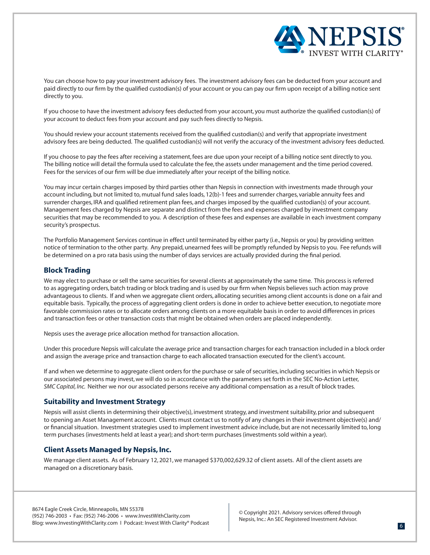

You can choose how to pay your investment advisory fees. The investment advisory fees can be deducted from your account and paid directly to our firm by the qualified custodian(s) of your account or you can pay our firm upon receipt of a billing notice sent directly to you.

If you choose to have the investment advisory fees deducted from your account, you must authorize the qualified custodian(s) of your account to deduct fees from your account and pay such fees directly to Nepsis.

You should review your account statements received from the qualified custodian(s) and verify that appropriate investment advisory fees are being deducted. The qualified custodian(s) will not verify the accuracy of the investment advisory fees deducted.

If you choose to pay the fees after receiving a statement, fees are due upon your receipt of a billing notice sent directly to you. The billing notice will detail the formula used to calculate the fee, the assets under management and the time period covered. Fees for the services of our firm will be due immediately after your receipt of the billing notice.

You may incur certain charges imposed by third parties other than Nepsis in connection with investments made through your account including, but not limited to, mutual fund sales loads, 12(b)-1 fees and surrender charges, variable annuity fees and surrender charges, IRA and qualified retirement plan fees, and charges imposed by the qualified custodian(s) of your account. Management fees charged by Nepsis are separate and distinct from the fees and expenses charged by investment company securities that may be recommended to you. A description of these fees and expenses are available in each investment company security's prospectus.

The Portfolio Management Services continue in effect until terminated by either party (i.e., Nepsis or you) by providing written notice of termination to the other party. Any prepaid, unearned fees will be promptly refunded by Nepsis to you. Fee refunds will be determined on a pro rata basis using the number of days services are actually provided during the final period.

# **Block Trading**

We may elect to purchase or sell the same securities for several clients at approximately the same time. This process is referred to as aggregating orders, batch trading or block trading and is used by our firm when Nepsis believes such action may prove advantageous to clients. If and when we aggregate client orders, allocating securities among client accounts is done on a fair and equitable basis. Typically, the process of aggregating client orders is done in order to achieve better execution, to negotiate more favorable commission rates or to allocate orders among clients on a more equitable basis in order to avoid differences in prices and transaction fees or other transaction costs that might be obtained when orders are placed independently.

Nepsis uses the average price allocation method for transaction allocation.

Under this procedure Nepsis will calculate the average price and transaction charges for each transaction included in a block order and assign the average price and transaction charge to each allocated transaction executed for the client's account.

If and when we determine to aggregate client orders for the purchase or sale of securities, including securities in which Nepsis or our associated persons may invest, we will do so in accordance with the parameters set forth in the SEC No-Action Letter, *SMC Capital, Inc.* Neither we nor our associated persons receive any additional compensation as a result of block trades.

#### **Suitability and Investment Strategy**

Nepsis will assist clients in determining their objective(s), investment strategy, and investment suitability, prior and subsequent to opening an Asset Management account. Clients must contact us to notify of any changes in their investment objective(s) and/ or financial situation. Investment strategies used to implement investment advice include, but are not necessarily limited to, long term purchases (investments held at least a year); and short-term purchases (investments sold within a year).

# **Client Assets Managed by Nepsis, Inc.**

We manage client assets. As of February 12, 2021, we managed \$370,002,629.32 of client assets. All of the client assets are managed on a discretionary basis.

8674 Eagle Creek Circle, Minneapolis, MN 55378 (952) 746-2003 • Fax: (952) 746-2006 • www.InvestWithClarity.com Blog: www.InvestingWithClarity.com I Podcast: Invest With Clarity® Podcast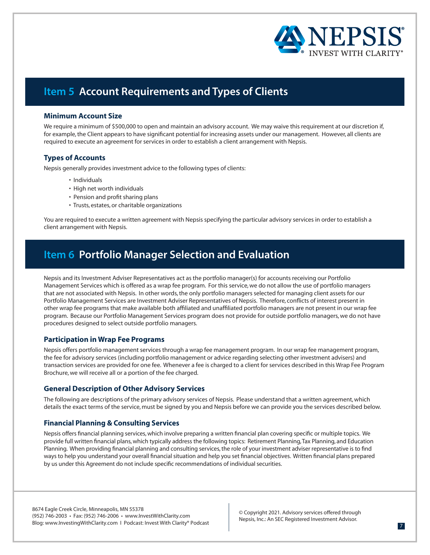

# **Item 5 Account Requirements and Types of Clients**

# **Minimum Account Size**

We require a minimum of \$500,000 to open and maintain an advisory account. We may waive this requirement at our discretion if, for example, the Client appears to have significant potential for increasing assets under our management. However, all clients are required to execute an agreement for services in order to establish a client arrangement with Nepsis.

# **Types of Accounts**

Nepsis generally provides investment advice to the following types of clients:

- Individuals
- High net worth individuals
- Pension and profit sharing plans
- Trusts, estates, or charitable organizations

You are required to execute a written agreement with Nepsis specifying the particular advisory services in order to establish a client arrangement with Nepsis.

# **Item 6 Portfolio Manager Selection and Evaluation**

Nepsis and its Investment Adviser Representatives act as the portfolio manager(s) for accounts receiving our Portfolio Management Services which is offered as a wrap fee program. For this service, we do not allow the use of portfolio managers that are not associated with Nepsis. In other words, the only portfolio managers selected for managing client assets for our Portfolio Management Services are Investment Adviser Representatives of Nepsis. Therefore, conflicts of interest present in other wrap fee programs that make available both affiliated and unaffiliated portfolio managers are not present in our wrap fee program. Because our Portfolio Management Services program does not provide for outside portfolio managers, we do not have procedures designed to select outside portfolio managers.

# **Participation in Wrap Fee Programs**

Nepsis offers portfolio management services through a wrap fee management program. In our wrap fee management program, the fee for advisory services (including portfolio management or advice regarding selecting other investment advisers) and transaction services are provided for one fee. Whenever a fee is charged to a client for services described in this Wrap Fee Program Brochure, we will receive all or a portion of the fee charged.

# **General Description of Other Advisory Services**

The following are descriptions of the primary advisory services of Nepsis. Please understand that a written agreement, which details the exact terms of the service, must be signed by you and Nepsis before we can provide you the services described below.

# **Financial Planning & Consulting Services**

Nepsis offers financial planning services, which involve preparing a written financial plan covering specific or multiple topics. We provide full written financial plans, which typically address the following topics: Retirement Planning, Tax Planning, and Education Planning. When providing financial planning and consulting services, the role of your investment adviser representative is to find ways to help you understand your overall financial situation and help you set financial objectives. Written financial plans prepared by us under this Agreement do not include specific recommendations of individual securities.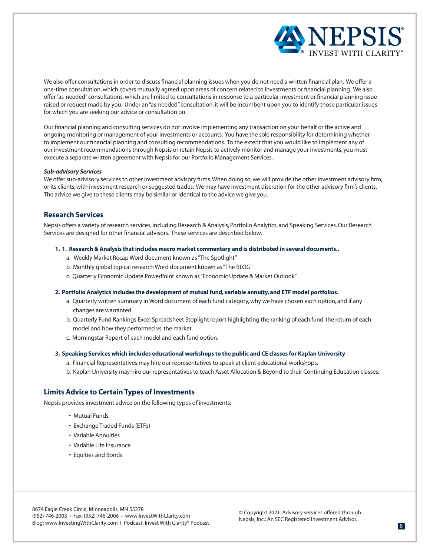

We also offer consultations in order to discuss financial planning issues when you do not need a written financial plan. We offer a one-time consultation, which covers mutually agreed upon areas of concern related to investments or financial planning. We also offer "as-needed" consultations, which are limited to consultations in response to a particular investment or financial planning issue raised or request made by you. Under an "as-needed" consultation, it will be incumbent upon you to identify those particular issues for which you are seeking our advice or consultation on.

Our financial planning and consulting services do not involve implementing any transaction on your behalf or the active and ongoing monitoring or management of your investments or accounts. You have the sole responsibility for determining whether to implement our financial planning and consulting recommendations. To the extent that you would like to implement any of our investment recommendations through Nepsis or retain Nepsis to actively monitor and manage your investments, you must execute a separate written agreement with Nepsis for our Portfolio Management Services.

#### *Sub-advisory Services*

We offer sub-advisory services to other investment advisory firms. When doing so, we will provide the other investment advisory firm, or its clients, with investment research or suggested trades. We may have investment discretion for the other advisory firm's clients. The advice we give to these clients may be similar or identical to the advice we give you.

#### **Research Services**

Nepsis offers a variety of research services, including Research & Analysis, Portfolio Analytics, and Speaking Services. Our Research Services are designed for other financial advisors. These services are described below.

#### **1. 1. Research & Analysis that includes macro market commentary and is distributed in several documents..**

- a. Weekly Market Recap Word document known as "The Spotlight"
- b. Monthly global topical research Word document known as "The BLOG"
- c. Quarterly Economic Update PowerPoint known as "Economic Update & Market Outlook"

#### **2. Portfolio Analytics includes the development of mutual fund, variable annuity, and ETF model portfolios.**

- a. Quarterly written summary in Word document of each fund category, why we have chosen each option, and if any changes are warranted.
- b. Quarterly Fund Rankings Excel Spreadsheet Stoplight report highlighting the ranking of each fund, the return of each model and how they performed vs. the market.
- c. Morningstar Report of each model and each fund option.

#### **3. Speaking Services which includes educational workshops to the public and CE classes for Kaplan University**

- a. Financial Representatives may hire our representatives to speak at client educational workshops.
- b. Kaplan University may hire our representatives to teach Asset Allocation & Beyond to their Continuing Education classes.

### **Limits Advice to Certain Types of Investments**

Nepsis provides investment advice on the following types of investments:

- Mutual Funds
- Exchange Traded Funds (ETFs)
- Variable Annuities
- Variable Life Insurance
- Equities and Bonds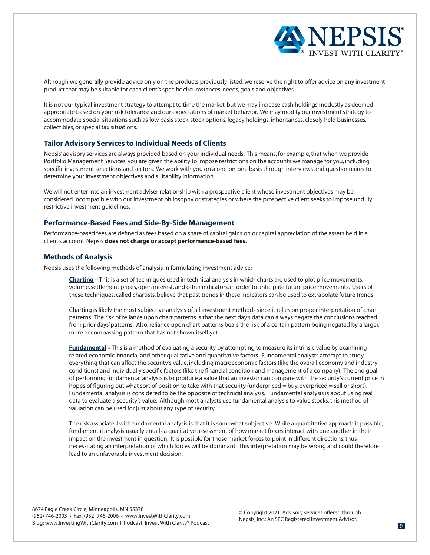

Although we generally provide advice only on the products previously listed, we reserve the right to offer advice on any investment product that may be suitable for each client's specific circumstances, needs, goals and objectives.

It is not our typical investment strategy to attempt to time the market, but we may increase cash holdings modestly as deemed appropriate based on your risk tolerance and our expectations of market behavior. We may modify our investment strategy to accommodate special situations such as low basis stock, stock options, legacy holdings, inheritances, closely held businesses, collectibles, or special tax situations.

### **Tailor Advisory Services to Individual Needs of Clients**

Nepsis' advisory services are always provided based on your individual needs. This means, for example, that when we provide Portfolio Management Services, you are given the ability to impose restrictions on the accounts we manage for you, including specific investment selections and sectors. We work with you on a one-on-one basis through interviews and questionnaires to determine your investment objectives and suitability information.

We will not enter into an investment adviser relationship with a prospective client whose investment objectives may be considered incompatible with our investment philosophy or strategies or where the prospective client seeks to impose unduly restrictive investment guidelines.

### **Performance-Based Fees and Side-By-Side Management**

Performance-based fees are defined as fees based on a share of capital gains on or capital appreciation of the assets held in a client's account. Nepsis **does not charge or accept performance-based fees.**

#### **Methods of Analysis**

Nepsis uses the following methods of analysis in formulating investment advice:

**Charting –** This is a set of techniques used in technical analysis in which charts are used to plot price movements, volume, settlement prices, open interest, and other indicators, in order to anticipate future price movements. Users of these techniques, called chartists, believe that past trends in these indicators can be used to extrapolate future trends.

Charting is likely the most subjective analysis of all investment methods since it relies on proper interpretation of chart patterns. The risk of reliance upon chart patterns is that the next day's data can always negate the conclusions reached from prior days' patterns. Also, reliance upon chart patterns bears the risk of a certain pattern being negated by a larger, more encompassing pattern that has not shown itself yet.

**Fundamental –** This is a method of evaluating a security by attempting to measure its intrinsic value by examining related economic, financial and other qualitative and quantitative factors. Fundamental analysts attempt to study everything that can affect the security's value, including macroeconomic factors (like the overall economy and industry conditions) and individually specific factors (like the financial condition and management of a company). The end goal of performing fundamental analysis is to produce a value that an investor can compare with the security's current price in hopes of figuring out what sort of position to take with that security (underpriced = buy, overpriced = sell or short). Fundamental analysis is considered to be the opposite of technical analysis. Fundamental analysis is about using real data to evaluate a security's value. Although most analysts use fundamental analysis to value stocks, this method of valuation can be used for just about any type of security.

The risk associated with fundamental analysis is that it is somewhat subjective. While a quantitative approach is possible, fundamental analysis usually entails a qualitative assessment of how market forces interact with one another in their impact on the investment in question. It is possible for those market forces to point in different directions, thus necessitating an interpretation of which forces will be dominant. This interpretation may be wrong and could therefore lead to an unfavorable investment decision.

8674 Eagle Creek Circle, Minneapolis, MN 55378 (952) 746-2003 • Fax: (952) 746-2006 • www.InvestWithClarity.com Blog: www.InvestingWithClarity.com I Podcast: Invest With Clarity® Podcast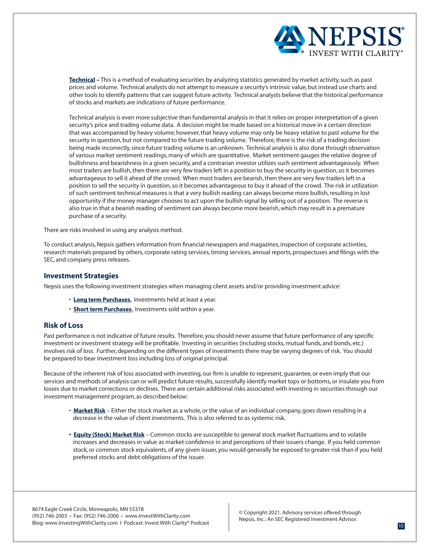

**Technical –** This is a method of evaluating securities by analyzing statistics generated by market activity, such as past prices and volume. Technical analysts do not attempt to measure a security's intrinsic value, but instead use charts and other tools to identify patterns that can suggest future activity. Technical analysts believe that the historical performance of stocks and markets are indications of future performance.

Technical analysis is even more subjective than fundamental analysis in that it relies on proper interpretation of a given security's price and trading volume data. A decision might be made based on a historical move in a certain direction that was accompanied by heavy volume; however, that heavy volume may only be heavy relative to past volume for the security in question, but not compared to the future trading volume. Therefore, there is the risk of a trading decision being made incorrectly, since future trading volume is an unknown. Technical analysis is also done through observation of various market sentiment readings, many of which are quantitative. Market sentiment gauges the relative degree of bullishness and bearishness in a given security, and a contrarian investor utilizes such sentiment advantageously. When most traders are bullish, then there are very few traders left in a position to buy the security in question, so it becomes advantageous to sell it ahead of the crowd. When most traders are bearish, then there are very few traders left in a position to sell the security in question, so it becomes advantageous to buy it ahead of the crowd. The risk in utilization of such sentiment technical measures is that a very bullish reading can always become more bullish, resulting in lost opportunity if the money manager chooses to act upon the bullish signal by selling out of a position. The reverse is also true in that a bearish reading of sentiment can always become more bearish, which may result in a premature purchase of a security.

There are risks involved in using any analysis method.

To conduct analysis, Nepsis gathers information from financial newspapers and magazines, inspection of corporate activities, research materials prepared by others, corporate rating services, timing services, annual reports, prospectuses and filings with the SEC, and company press releases.

#### **Investment Strategies**

Nepsis uses the following investment strategies when managing client assets and/or providing investment advice:

- **Long term Purchases.** Investments held at least a year.
- **Short term Purchases.** Investments sold within a year.

#### **Risk of Loss**

Past performance is not indicative of future results. Therefore, you should never assume that future performance of any specific investment or investment strategy will be profitable. Investing in securities (including stocks, mutual funds, and bonds, etc.) involves risk of loss. Further, depending on the different types of investments there may be varying degrees of risk. You should be prepared to bear investment loss including loss of original principal.

Because of the inherent risk of loss associated with investing, our firm is unable to represent, guarantee, or even imply that our services and methods of analysis can or will predict future results, successfully identify market tops or bottoms, or insulate you from losses due to market corrections or declines. There are certain additional risks associated with investing in securities through our investment management program, as described below:

- **Market Risk** Either the stock market as a whole, or the value of an individual company, goes down resulting in a decrease in the value of client investments. This is also referred to as systemic risk.
- **• Equity (Stock) Market Risk** Common stocks are susceptible to general stock market fluctuations and to volatile increases and decreases in value as market confidence in and perceptions of their issuers change. If you held common stock, or common stock equivalents, of any given issuer, you would generally be exposed to greater risk than if you held preferred stocks and debt obligations of the issuer.

8674 Eagle Creek Circle, Minneapolis, MN 55378 (952) 746-2003 • Fax: (952) 746-2006 • www.InvestWithClarity.com Blog: www.InvestingWithClarity.com I Podcast: Invest With Clarity® Podcast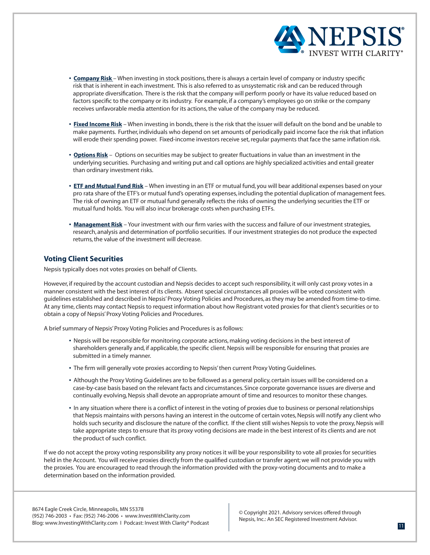

- **• Company Risk**  When investing in stock positions, there is always a certain level of company or industry specific risk that is inherent in each investment. This is also referred to as unsystematic risk and can be reduced through appropriate diversification. There is the risk that the company will perform poorly or have its value reduced based on factors specific to the company or its industry. For example, if a company's employees go on strike or the company receives unfavorable media attention for its actions, the value of the company may be reduced.
- **• Fixed Income Risk** When investing in bonds, there is the risk that the issuer will default on the bond and be unable to make payments. Further, individuals who depend on set amounts of periodically paid income face the risk that inflation will erode their spending power. Fixed-income investors receive set, regular payments that face the same inflation risk.
- **• Options Risk** Options on securities may be subject to greater fluctuations in value than an investment in the underlying securities. Purchasing and writing put and call options are highly specialized activities and entail greater than ordinary investment risks.
- **• ETF and Mutual Fund Risk** When investing in an ETF or mutual fund, you will bear additional expenses based on your pro rata share of the ETF's or mutual fund's operating expenses, including the potential duplication of management fees. The risk of owning an ETF or mutual fund generally reflects the risks of owning the underlying securities the ETF or mutual fund holds. You will also incur brokerage costs when purchasing ETFs.
- **• Management Risk** Your investment with our firm varies with the success and failure of our investment strategies, research, analysis and determination of portfolio securities. If our investment strategies do not produce the expected returns, the value of the investment will decrease.

# **Voting Client Securities**

Nepsis typically does not votes proxies on behalf of Clients.

However, if required by the account custodian and Nepsis decides to accept such responsibility, it will only cast proxy votes in a manner consistent with the best interest of its clients. Absent special circumstances all proxies will be voted consistent with guidelines established and described in Nepsis' Proxy Voting Policies and Procedures, as they may be amended from time-to-time. At any time, clients may contact Nepsis to request information about how Registrant voted proxies for that client's securities or to obtain a copy of Nepsis' Proxy Voting Policies and Procedures.

A brief summary of Nepsis' Proxy Voting Policies and Procedures is as follows:

- **•** Nepsis will be responsible for monitoring corporate actions, making voting decisions in the best interest of shareholders generally and, if applicable, the specific client. Nepsis will be responsible for ensuring that proxies are submitted in a timely manner.
- **•** The firm will generally vote proxies according to Nepsis' then current Proxy Voting Guidelines.
- **•** Although the Proxy Voting Guidelines are to be followed as a general policy, certain issues will be considered on a case-by-case basis based on the relevant facts and circumstances. Since corporate governance issues are diverse and continually evolving, Nepsis shall devote an appropriate amount of time and resources to monitor these changes.
- **•** In any situation where there is a conflict of interest in the voting of proxies due to business or personal relationships that Nepsis maintains with persons having an interest in the outcome of certain votes, Nepsis will notify any client who holds such security and disclosure the nature of the conflict. If the client still wishes Nepsis to vote the proxy, Nepsis will take appropriate steps to ensure that its proxy voting decisions are made in the best interest of its clients and are not the product of such conflict.

If we do not accept the proxy voting responsibility any proxy notices it will be your responsibility to vote all proxies for securities held in the Account. You will receive proxies directly from the qualified custodian or transfer agent; we will not provide you with the proxies. You are encouraged to read through the information provided with the proxy-voting documents and to make a determination based on the information provided.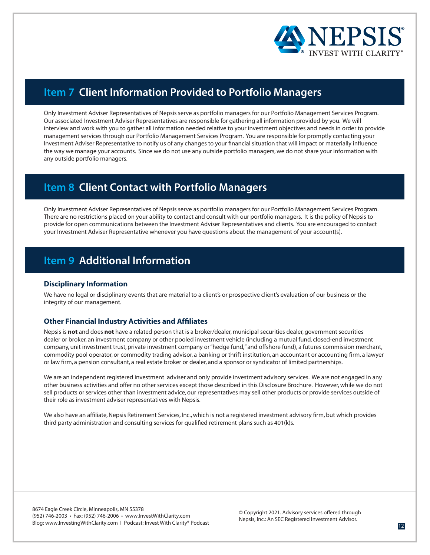

# **Item 7 Client Information Provided to Portfolio Managers**

Only Investment Adviser Representatives of Nepsis serve as portfolio managers for our Portfolio Management Services Program. Our associated Investment Adviser Representatives are responsible for gathering all information provided by you. We will interview and work with you to gather all information needed relative to your investment objectives and needs in order to provide management services through our Portfolio Management Services Program. You are responsible for promptly contacting your Investment Adviser Representative to notify us of any changes to your financial situation that will impact or materially influence the way we manage your accounts. Since we do not use any outside portfolio managers, we do not share your information with any outside portfolio managers.

# **Item 8 Client Contact with Portfolio Managers**

Only Investment Adviser Representatives of Nepsis serve as portfolio managers for our Portfolio Management Services Program. There are no restrictions placed on your ability to contact and consult with our portfolio managers. It is the policy of Nepsis to provide for open communications between the Investment Adviser Representatives and clients. You are encouraged to contact your Investment Adviser Representative whenever you have questions about the management of your account(s).

# **Item 9 Additional Information**

# **Disciplinary Information**

We have no legal or disciplinary events that are material to a client's or prospective client's evaluation of our business or the integrity of our management.

# **Other Financial Industry Activities and Affiliates**

Nepsis is **not** and does **not** have a related person that is a broker/dealer, municipal securities dealer, government securities dealer or broker, an investment company or other pooled investment vehicle (including a mutual fund, closed-end investment company, unit investment trust, private investment company or "hedge fund," and offshore fund), a futures commission merchant, commodity pool operator, or commodity trading advisor, a banking or thrift institution, an accountant or accounting firm, a lawyer or law firm, a pension consultant, a real estate broker or dealer, and a sponsor or syndicator of limited partnerships.

We are an independent registered investment adviser and only provide investment advisory services. We are not engaged in any other business activities and offer no other services except those described in this Disclosure Brochure. However, while we do not sell products or services other than investment advice, our representatives may sell other products or provide services outside of their role as investment adviser representatives with Nepsis.

We also have an affiliate, Nepsis Retirement Services, Inc., which is not a registered investment advisory firm, but which provides third party administration and consulting services for qualified retirement plans such as 401(k)s.

8674 Eagle Creek Circle, Minneapolis, MN 55378 (952) 746-2003 • Fax: (952) 746-2006 • www.InvestWithClarity.com Blog: www.InvestingWithClarity.com I Podcast: Invest With Clarity® Podcast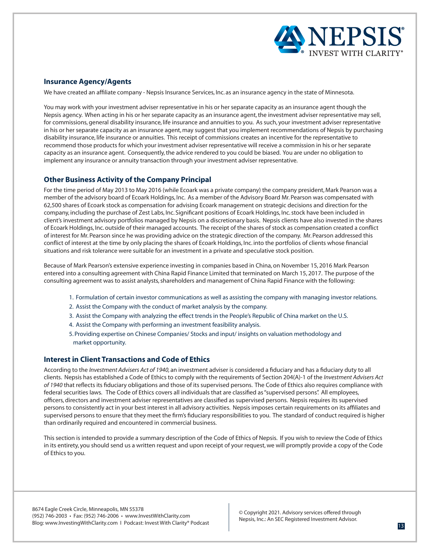

# **Insurance Agency/Agents**

We have created an affiliate company - Nepsis Insurance Services, Inc. as an insurance agency in the state of Minnesota.

You may work with your investment adviser representative in his or her separate capacity as an insurance agent though the Nepsis agency. When acting in his or her separate capacity as an insurance agent, the investment adviser representative may sell, for commissions, general disability insurance, life insurance and annuities to you. As such, your investment adviser representative in his or her separate capacity as an insurance agent, may suggest that you implement recommendations of Nepsis by purchasing disability insurance, life insurance or annuities. This receipt of commissions creates an incentive for the representative to recommend those products for which your investment adviser representative will receive a commission in his or her separate capacity as an insurance agent. Consequently, the advice rendered to you could be biased. You are under no obligation to implement any insurance or annuity transaction through your investment adviser representative.

# **Other Business Activity of the Company Principal**

For the time period of May 2013 to May 2016 (while Ecoark was a private company) the company president, Mark Pearson was a member of the advisory board of Ecoark Holdings, Inc. As a member of the Advisory Board Mr. Pearson was compensated with 62,500 shares of Ecoark stock as compensation for advising Ecoark management on strategic decisions and direction for the company, including the purchase of Zest Labs, Inc. Significant positions of Ecoark Holdings, Inc. stock have been included in client's investment advisory portfolios managed by Nepsis on a discretionary basis. Nepsis clients have also invested in the shares of Ecoark Holdings, Inc. outside of their managed accounts. The receipt of the shares of stock as compensation created a conflict of interest for Mr. Pearson since he was providing advice on the strategic direction of the company. Mr. Pearson addressed this conflict of interest at the time by only placing the shares of Ecoark Holdings, Inc. into the portfolios of clients whose financial situations and risk tolerance were suitable for an investment in a private and speculative stock position.

Because of Mark Pearson's extensive experience investing in companies based in China, on November 15, 2016 Mark Pearson entered into a consulting agreement with China Rapid Finance Limited that terminated on March 15, 2017. The purpose of the consulting agreement was to assist analysts, shareholders and management of China Rapid Finance with the following:

- 1. Formulation of certain investor communications as well as assisting the company with managing investor relations.
- 2. Assist the Company with the conduct of market analysis by the company.
- 3. Assist the Company with analyzing the effect trends in the People's Republic of China market on the U.S.
- 4. Assist the Company with performing an investment feasibility analysis.
- 5. Providing expertise on Chinese Companies/ Stocks and input/ insights on valuation methodology and market opportunity.

### **Interest in Client Transactions and Code of Ethics**

According to the *Investment Advisers Act of 1940,* an investment adviser is considered a fiduciary and has a fiduciary duty to all clients. Nepsis has established a Code of Ethics to comply with the requirements of Section 204(A)-1 of the *Investment Advisers Act of 1940* that reflects its fiduciary obligations and those of its supervised persons. The Code of Ethics also requires compliance with federal securities laws. The Code of Ethics covers all individuals that are classified as "supervised persons". All employees, officers, directors and investment adviser representatives are classified as supervised persons. Nepsis requires its supervised persons to consistently act in your best interest in all advisory activities. Nepsis imposes certain requirements on its affiliates and supervised persons to ensure that they meet the firm's fiduciary responsibilities to you. The standard of conduct required is higher than ordinarily required and encountered in commercial business.

This section is intended to provide a summary description of the Code of Ethics of Nepsis. If you wish to review the Code of Ethics in its entirety, you should send us a written request and upon receipt of your request, we will promptly provide a copy of the Code of Ethics to you.

8674 Eagle Creek Circle, Minneapolis, MN 55378 (952) 746-2003 • Fax: (952) 746-2006 • www.InvestWithClarity.com Blog: www.InvestingWithClarity.com I Podcast: Invest With Clarity® Podcast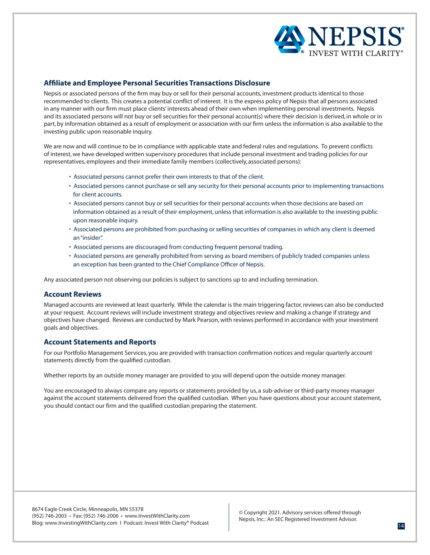

# **Affiliate and Employee Personal Securities Transactions Disclosure**

Nepsis or associated persons of the firm may buy or sell for their personal accounts, investment products identical to those recommended to clients. This creates a potential conflict of interest. It is the express policy of Nepsis that all persons associated in any manner with our firm must place clients' interests ahead of their own when implementing personal investments. Nepsis and its associated persons will not buy or sell securities for their personal account(s) where their decision is derived, in whole or in part, by information obtained as a result of employment or association with our firm unless the information is also available to the investing public upon reasonable inquiry.

We are now and will continue to be in compliance with applicable state and federal rules and regulations. To prevent conflicts of interest, we have developed written supervisory procedures that include personal investment and trading policies for our representatives, employees and their immediate family members (collectively, associated persons):

- Associated persons cannot prefer their own interests to that of the client.
- Associated persons cannot purchase or sell any security for their personal accounts prior to implementing transactions for client accounts.
- Associated persons cannot buy or sell securities for their personal accounts when those decisions are based on information obtained as a result of their employment, unless that information is also available to the investing public upon reasonable inquiry.
- Associated persons are prohibited from purchasing or selling securities of companies in which any client is deemed an "insider".
- Associated persons are discouraged from conducting frequent personal trading.
- Associated persons are generally prohibited from serving as board members of publicly traded companies unless an exception has been granted to the Chief Compliance Officer of Nepsis.

Any associated person not observing our policies is subject to sanctions up to and including termination.

# **Account Reviews**

Managed accounts are reviewed at least quarterly. While the calendar is the main triggering factor, reviews can also be conducted at your request. Account reviews will include investment strategy and objectives review and making a change if strategy and objectives have changed. Reviews are conducted by Mark Pearson, with reviews performed in accordance with your investment goals and objectives.

# **Account Statements and Reports**

For our Portfolio Management Services, you are provided with transaction confirmation notices and regular quarterly account statements directly from the qualified custodian.

Whether reports by an outside money manager are provided to you will depend upon the outside money manager.

You are encouraged to always compare any reports or statements provided by us, a sub-adviser or third-party money manager against the account statements delivered from the qualified custodian. When you have questions about your account statement, you should contact our firm and the qualified custodian preparing the statement.

8674 Eagle Creek Circle, Minneapolis, MN 55378 (952) 746-2003 • Fax: (952) 746-2006 • www.InvestWithClarity.com Blog: www.InvestingWithClarity.com I Podcast: Invest With Clarity® Podcast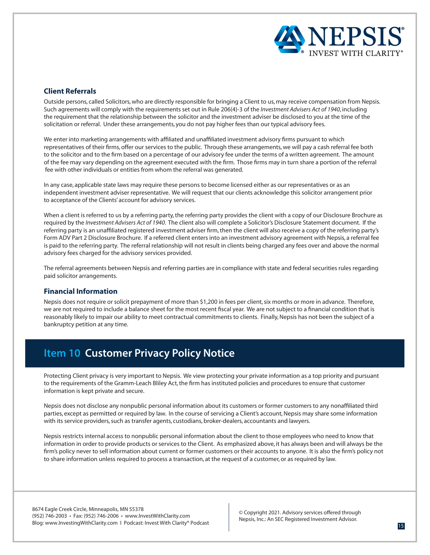

# **Client Referrals**

Outside persons, called Solicitors, who are directly responsible for bringing a Client to us, may receive compensation from Nepsis. Such agreements will comply with the requirements set out in Rule 206(4)-3 of the *Investment Advisers Act of 1940*, including the requirement that the relationship between the solicitor and the investment adviser be disclosed to you at the time of the solicitation or referral. Under these arrangements, you do not pay higher fees than our typical advisory fees.

We enter into marketing arrangements with affiliated and unaffiliated investment advisory firms pursuant to which representatives of their firms, offer our services to the public. Through these arrangements, we will pay a cash referral fee both to the solicitor and to the firm based on a percentage of our advisory fee under the terms of a written agreement. The amount of the fee may vary depending on the agreement executed with the firm. Those firms may in turn share a portion of the referral fee with other individuals or entities from whom the referral was generated.

In any case, applicable state laws may require these persons to become licensed either as our representatives or as an independent investment adviser representative. We will request that our clients acknowledge this solicitor arrangement prior to acceptance of the Clients' account for advisory services.

When a client is referred to us by a referring party, the referring party provides the client with a copy of our Disclosure Brochure as required by the *Investment Advisers Act of 1940*. The client also will complete a Solicitor's Disclosure Statement document. If the referring party is an unaffiliated registered investment adviser firm, then the client will also receive a copy of the referring party's Form ADV Part 2 Disclosure Brochure. If a referred client enters into an investment advisory agreement with Nepsis, a referral fee is paid to the referring party. The referral relationship will not result in clients being charged any fees over and above the normal advisory fees charged for the advisory services provided.

The referral agreements between Nepsis and referring parties are in compliance with state and federal securities rules regarding paid solicitor arrangements.

# **Financial Information**

Nepsis does not require or solicit prepayment of more than \$1,200 in fees per client, six months or more in advance. Therefore, we are not required to include a balance sheet for the most recent fiscal year. We are not subject to a financial condition that is reasonably likely to impair our ability to meet contractual commitments to clients. Finally, Nepsis has not been the subject of a bankruptcy petition at any time.

# **Item 10 Customer Privacy Policy Notice**

Protecting Client privacy is very important to Nepsis. We view protecting your private information as a top priority and pursuant to the requirements of the Gramm-Leach Bliley Act, the firm has instituted policies and procedures to ensure that customer information is kept private and secure.

Nepsis does not disclose any nonpublic personal information about its customers or former customers to any nonaffiliated third parties, except as permitted or required by law. In the course of servicing a Client's account, Nepsis may share some information with its service providers, such as transfer agents, custodians, broker-dealers, accountants and lawyers.

Nepsis restricts internal access to nonpublic personal information about the client to those employees who need to know that information in order to provide products or services to the Client. As emphasized above, it has always been and will always be the firm's policy never to sell information about current or former customers or their accounts to anyone. It is also the firm's policy not to share information unless required to process a transaction, at the request of a customer, or as required by law.

8674 Eagle Creek Circle, Minneapolis, MN 55378 (952) 746-2003 • Fax: (952) 746-2006 • www.InvestWithClarity.com Blog: www.InvestingWithClarity.com I Podcast: Invest With Clarity® Podcast